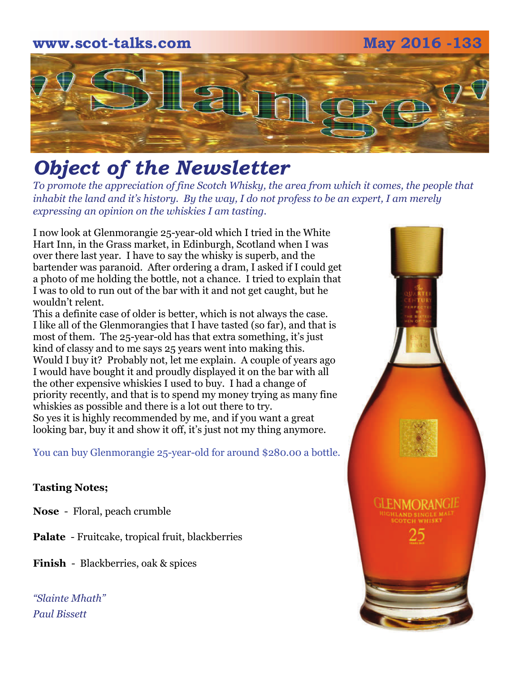## **www.scot-talks.com May 2016 -133** [2] 1

### *Object of the Newsletter*

*To promote the appreciation of fine Scotch Whisky, the area from which it comes, the people that inhabit the land and it's history. By the way, I do not profess to be an expert, I am merely expressing an opinion on the whiskies I am tasting.* 

I now look at Glenmorangie 25-year-old which I tried in the White Hart Inn, in the Grass market, in Edinburgh, Scotland when I was over there last year. I have to say the whisky is superb, and the bartender was paranoid. After ordering a dram, I asked if I could get a photo of me holding the bottle, not a chance. I tried to explain that I was to old to run out of the bar with it and not get caught, but he wouldn't relent.

This a definite case of older is better, which is not always the case. I like all of the Glenmorangies that I have tasted (so far), and that is most of them. The 25-year-old has that extra something, it's just kind of classy and to me says 25 years went into making this. Would I buy it? Probably not, let me explain. A couple of years ago I would have bought it and proudly displayed it on the bar with all the other expensive whiskies I used to buy. I had a change of priority recently, and that is to spend my money trying as many fine whiskies as possible and there is a lot out there to try. So yes it is highly recommended by me, and if you want a great looking bar, buy it and show it off, it's just not my thing anymore.

You can buy Glenmorangie 25-year-old for around \$280.00 a bottle.

#### **Tasting Notes;**

**Nose** - Floral, peach crumble

**Palate** - Fruitcake, tropical fruit, blackberries

**Finish** - Blackberries, oak & spices

*"Slainte Mhath" Paul Bissett*

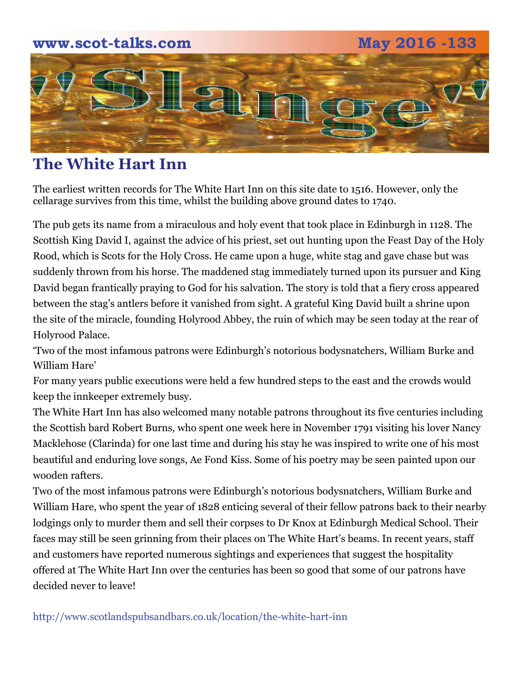

#### **The White Hart Inn**

The earliest written records for The White Hart Inn on this site date to 1516. However, only the cellarage survives from this time, whilst the building above ground dates to 1740.

The pub gets its name from a miraculous and holy event that took place in Edinburgh in 1128. The Scottish King David I, against the advice of his priest, set out hunting upon the Feast Day of the Holy Rood, which is Scots for the Holy Cross. He came upon a huge, white stag and gave chase but was suddenly thrown from his horse. The maddened stag immediately turned upon its pursuer and King David began frantically praying to God for his salvation. The story is told that a fiery cross appeared between the stag's antlers before it vanished from sight. A grateful King David built a shrine upon the site of the miracle, founding Holyrood Abbey, the ruin of which may be seen today at the rear of Holyrood Palace.

'Two of the most infamous patrons were Edinburgh's notorious bodysnatchers, William Burke and William Hare'

For many years public executions were held a few hundred steps to the east and the crowds would keep the innkeeper extremely busy.

The White Hart Inn has also welcomed many notable patrons throughout its five centuries including the Scottish bard Robert Burns, who spent one week here in November 1791 visiting his lover Nancy Macklehose (Clarinda) for one last time and during his stay he was inspired to write one of his most beautiful and enduring love songs, Ae Fond Kiss. Some of his poetry may be seen painted upon our wooden rafters.

Two of the most infamous patrons were Edinburgh's notorious bodysnatchers, William Burke and William Hare, who spent the year of 1828 enticing several of their fellow patrons back to their nearby lodgings only to murder them and sell their corpses to Dr Knox at Edinburgh Medical School. Their faces may still be seen grinning from their places on The White Hart's beams. In recent years, staff and customers have reported numerous sightings and experiences that suggest the hospitality offered at The White Hart Inn over the centuries has been so good that some of our patrons have decided never to leave!

http://www.scotlandspubsandbars.co.uk/location/the-white-hart-inn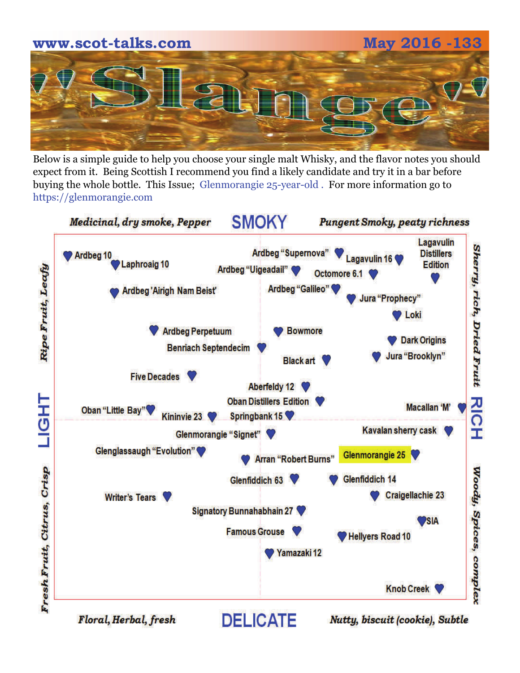# **www.scot-talks.com May 2016 -133**

Below is a simple guide to help you choose your single malt Whisky, and the flavor notes you should expect from it. Being Scottish I recommend you find a likely candidate and try it in a bar before buying the whole bottle. This Issue; Glenmorangie 25-year-old . For more information go to https://glenmorangie.com



Floral, Herbal, fresh

Nutty, biscuit (cookie), Subtle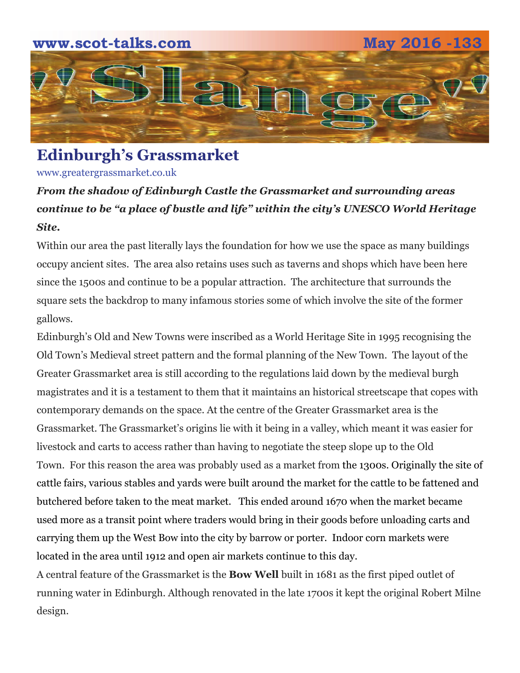

**Edinburgh's Grassmarket** 

www.greatergrassmarket.co.uk

#### *From the shadow of Edinburgh Castle the Grassmarket and surrounding areas continue to be "a place of bustle and life" within the city's UNESCO World Heritage Site.*

Within our area the past literally lays the foundation for how we use the space as many buildings occupy ancient sites. The area also retains uses such as taverns and shops which have been here since the 1500s and continue to be a popular attraction. The architecture that surrounds the square sets the backdrop to many infamous stories some of which involve the site of the former gallows.

Edinburgh's Old and New Towns were inscribed as a World Heritage Site in 1995 recognising the Old Town's Medieval street pattern and the formal planning of the New Town. The layout of the Greater Grassmarket area is still according to the regulations laid down by the medieval burgh magistrates and it is a testament to them that it maintains an historical streetscape that copes with contemporary demands on the space. At the centre of the Greater Grassmarket area is the Grassmarket. The Grassmarket's origins lie with it being in a valley, which meant it was easier for livestock and carts to access rather than having to negotiate the steep slope up to the Old Town. For this reason the area was probably used as a market from the 1300s. Originally the site of cattle fairs, various stables and yards were built around the market for the cattle to be fattened and butchered before taken to the meat market. This ended around 1670 when the market became used more as a transit point where traders would bring in their goods before unloading carts and carrying them up the West Bow into the city by barrow or porter. Indoor corn markets were located in the area until 1912 and [open air markets](http://www.greatergrassmarket.co.uk/my-greater-grassmarket/weekly-farmers-market) continue to this day.

A central feature of the Grassmarket is the **Bow Well** built in 1681 as the first piped outlet of running water in Edinburgh. Although renovated in the late 1700s it kept the original Robert Milne design.